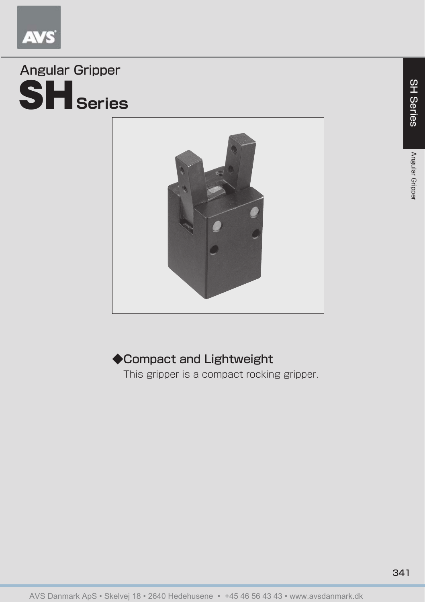

## SH**Series** Angular Gripper



## ◆Compact and Lightweight

This gripper is a compact rocking gripper.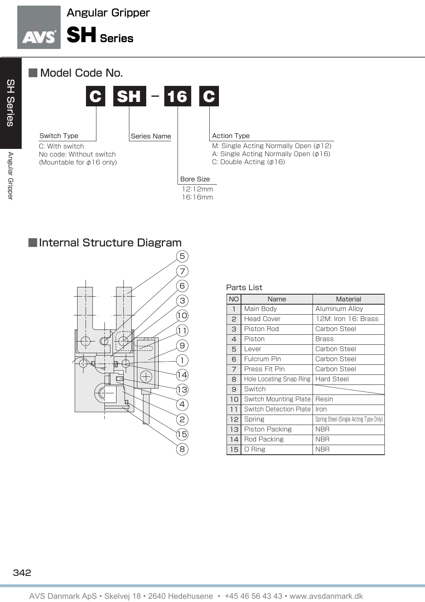## Angular Gripper





■Internal Structure Diagram



Parts List

| <b>NO</b>      | Name                          | Material                               |  |  |  |
|----------------|-------------------------------|----------------------------------------|--|--|--|
| $\overline{1}$ | Main Body                     | Aluminum Alloy                         |  |  |  |
| 2              | <b>Head Cover</b>             | 12M: Iron 16: Brass                    |  |  |  |
| 3              | Piston Rod                    | Carbon Steel                           |  |  |  |
| 4              | Piston                        | Brass                                  |  |  |  |
| 5              | I ever                        | Carbon Steel                           |  |  |  |
| 6              | Fulcrum Pin                   | Carbon Steel                           |  |  |  |
| 7              | Press Fit Pin                 | Carbon Steel                           |  |  |  |
| 8              | Hole Locating Snap Ring       | Hard Steel                             |  |  |  |
| 9              | Switch                        |                                        |  |  |  |
| 10             | Switch Mounting Plate         | Resin                                  |  |  |  |
| 11             | <b>Switch Detection Plate</b> | Iron                                   |  |  |  |
| 12             | Spring                        | Spring Steel (Single Acting Type Only) |  |  |  |
| 13             | Piston Packing                | <b>NBR</b>                             |  |  |  |
| 14             | Rod Packing                   | <b>NBR</b>                             |  |  |  |
| 15             | 0 Ring                        | <b>NBR</b>                             |  |  |  |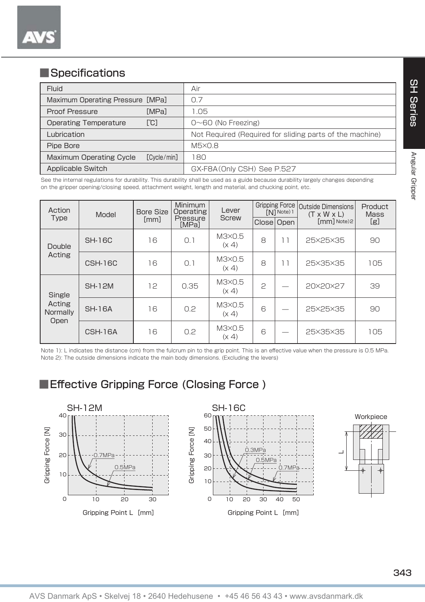## ■Specifications

| Fluid                                |             | Air                                                      |  |  |  |
|--------------------------------------|-------------|----------------------------------------------------------|--|--|--|
| Maximum Operating Pressure [MPa]     |             | 0.7                                                      |  |  |  |
| <b>MPal</b><br>Proof Pressure        |             | 1.05                                                     |  |  |  |
| [°C]<br><b>Operating Temperature</b> |             | $0\nthicksim60$ (No Freezing)                            |  |  |  |
| Lubrication                          |             | Not Required (Required for sliding parts of the machine) |  |  |  |
| Pipe Bore                            |             | $M5\times 0.8$                                           |  |  |  |
| <b>Maximum Operating Cycle</b>       | [Cycle/min] | 180                                                      |  |  |  |
| Applicable Switch                    |             | GX-F8A (Only CSH) See P.527                              |  |  |  |

See the internal regulations for durability. This durability shall be used as a guide because durability largely changes depending on the gripper opening/closing speed, attachment weight, length and material, and chucking point, etc.

| Action<br><b>Type</b>                | Model          | <b>Bore Size</b><br>[mm] | <b>Minimum</b><br>Operating<br>Pressure<br>[MPa] | Lever<br><b>Screw</b> | FN1 Note) 1<br>Close Open |    | Gripping Force   Outside Dimensions<br>$(T \times W \times L)$<br>[mm] Note)2 | Product<br><b>Mass</b><br>[g] |
|--------------------------------------|----------------|--------------------------|--------------------------------------------------|-----------------------|---------------------------|----|-------------------------------------------------------------------------------|-------------------------------|
| Double<br>Acting                     | <b>SH-16C</b>  | 16                       | 0.1                                              | M3×0.5<br>(x 4)       | 8                         | 11 | 25×25×35                                                                      | 90                            |
|                                      | <b>CSH-16C</b> | 16                       | 0.1                                              | M3×0.5<br>(x 4)       | 8                         | 11 | 25×35×35                                                                      | 105                           |
| Single<br>Acting<br>Normally<br>Open | <b>SH-12M</b>  | 12                       | 0.35                                             | M3X0.5<br>(x 4)       | $\mathbf{c}$              |    | 20×20×27                                                                      | 39                            |
|                                      | <b>SH-16A</b>  | 16                       | 0.2                                              | M3×0.5<br>(x 4)       | 6                         |    | 25×25×35                                                                      | 90                            |
|                                      | CSH-16A        | 16                       | 0.2                                              | M3×0.5<br>(x 4)       | 6                         |    | 25×35×35                                                                      | 105                           |

Note 1): L indicates the distance (cm) from the fulcrum pin to the grip point. This is an effective value when the pressure is 0.5 MPa. Note 2): The outside dimensions indicate the main body dimensions. (Excluding the levers)



■Effective Gripping Force (Closing Force)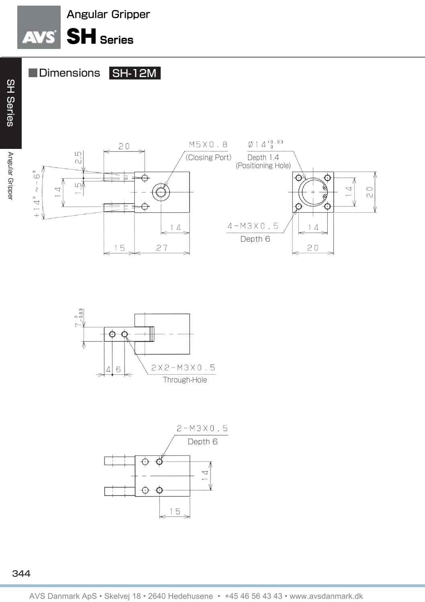



■Dimensions SH-12M





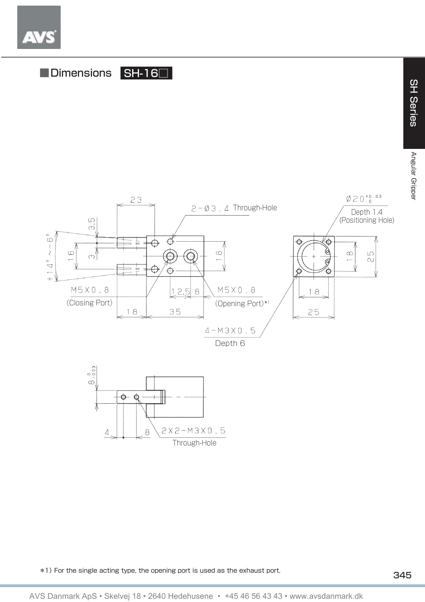



\*1) For the single acting type, the opening port is used as the exhaust port.

**SH Series** 

Angular Grippe